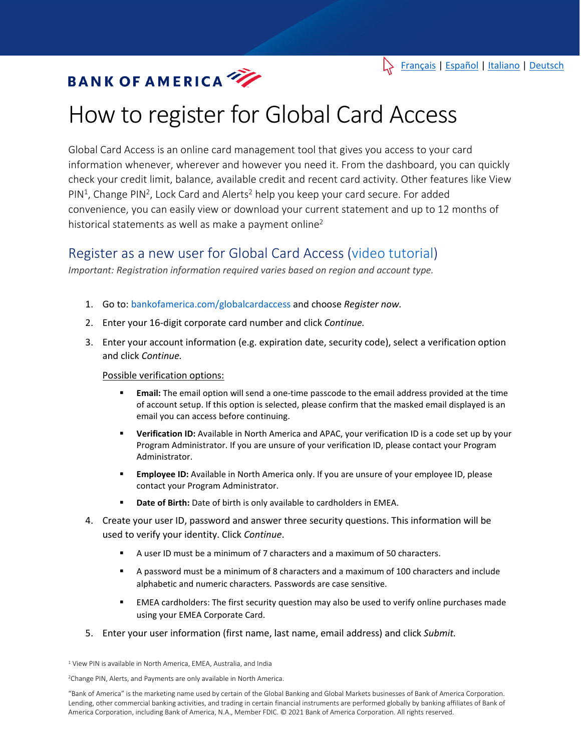# How to register for Global Card Access

Global Card Access is an online card management tool that gives you access to your card information whenever, wherever and however you need it. From the dashboard, you can quickly check your credit limit, balance, available credit and recent card activity. Other features like View PIN<sup>1</sup>, Change PIN<sup>2</sup>, Lock Card and Alerts<sup>2</sup> help you keep your card secure. For added convenience, you can easily view or download your current statement and up to 12 months of historical statements as well as make a payment online<sup>2</sup>

# Register as a new user for Global Card Access [\(video tutorial\)](https://players.brightcove.net/pages/v1/index.html?accountId=1786718357&playerId=Sk1PhbL9l&videoId=6125946316001&autoplay=true)

*Important: Registration information required varies based on region and account type.*

- 1. Go to: bankofamerica.com/globalcardaccess and choose *Register now.*
- 2. Enter your 16-digit corporate card number and click *Continue.*
- 3. Enter your account information (e.g. expiration date, security code), select a verification option and click *Continue.*

#### Possible verification options:

- **Email:** The email option will send a one-time passcode to the email address provided at the time of account setup. If this option is selected, please confirm that the masked email displayed is an email you can access before continuing.
- **Verification ID:** Available in North America and APAC, your verification ID is a code set up by your Program Administrator. If you are unsure of your verification ID, please contact your Program Administrator.
- **Employee ID:** Available in North America only. If you are unsure of your employee ID, please contact your Program Administrator.
- **Date of Birth:** Date of birth is only available to cardholders in EMEA.
- 4. Create your user ID, password and answer three security questions. This information will be used to verify your identity. Click *Continue*.
	- A user ID must be a minimum of 7 characters and a maximum of 50 characters.
	- A password must be a minimum of 8 characters and a maximum of 100 characters and include alphabetic and numeric characters*.* Passwords are case sensitive.
	- EMEA cardholders: The first security question may also be used to verify online purchases made using your EMEA Corporate Card.
- 5. Enter your user information (first name, last name, email address) and click *Submit.*

<sup>1</sup> View PIN is available in North America, EMEA, Australia, and India

<sup>2</sup>Change PIN, Alerts, and Payments are only available in North America.

"Bank of America" is the marketing name used by certain of the Global Banking and Global Markets businesses of Bank of America Corporation. Lending, other commercial banking activities, and trading in certain financial instruments are performed globally by banking affiliates of Bank of America Corporation, including Bank of America, N.A., Member FDIC. © 2021 Bank of America Corporation. All rights reserved.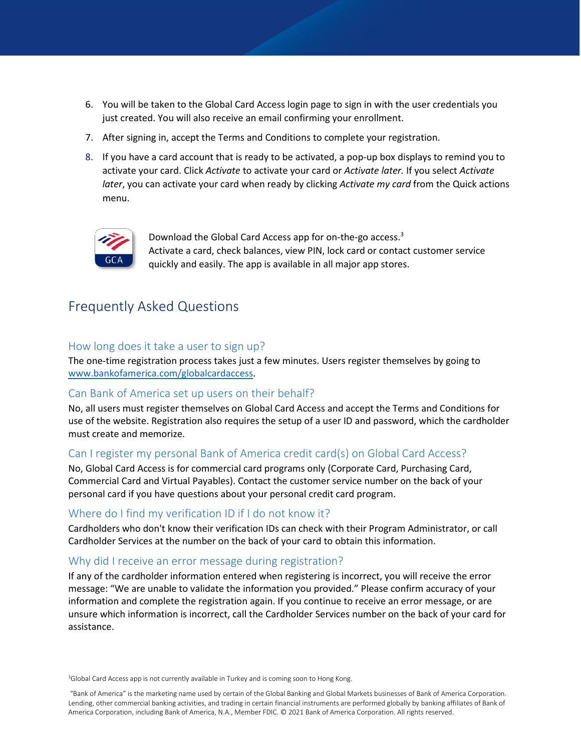- 6. You will be taken to the Global Card Access login page to sign in with the user credentials you just created. You will also receive an email confirming your enrollment.
- 7. After signing in, accept the Terms and Conditions to complete your registration.
- 8. If you have a card account that is ready to be activated, a pop-up box displays to remind you to activate your card. Click *Activate* to activate your card or *Activate later.* If you select *Activate later*, you can activate your card when ready by clicking *Activate my card* from the Quick actions menu.



Download the Global Card Access app for on-the-go access.<sup>3</sup> Activate a card, check balances, view PIN, lock card or contact customer service quickly and easily. The app is available in all major app stores.

# Frequently Asked Questions

#### How long does it take a user to sign up?

The one-time registration process takes just a few minutes. Users register themselves by going to [www.bankofamerica.com/globalcardaccess.](http://www.bankofamerica.com/globalcardaccess)

## Can Bank of America set up users on their behalf?

No, all users must register themselves on Global Card Access and accept the Terms and Conditions for use of the website. Registration also requires the setup of a user ID and password, which the cardholder must create and memorize.

## Can I register my personal Bank of America credit card(s) on Global Card Access?

No, Global Card Access is for commercial card programs only (Corporate Card, Purchasing Card, Commercial Card and Virtual Payables). Contact the customer service number on the back of your personal card if you have questions about your personal credit card program.

## Where do I find my verification ID if I do not know it?

Cardholders who don't know their verification IDs can check with their Program Administrator, or call Cardholder Services at the number on the back of your card to obtain this information.

#### Why did I receive an error message during registration?

If any of the cardholder information entered when registering is incorrect, you will receive the error message: "We are unable to validate the information you provided." Please confirm accuracy of your information and complete the registration again. If you continue to receive an error message, or are unsure which information is incorrect, call the Cardholder Services number on the back of your card for assistance.

<sup>3</sup>Global Card Access app is not currently available in Turkey and is coming soon to Hong Kong.

"Bank of America" is the marketing name used by certain of the Global Banking and Global Markets businesses of Bank of America Corporation. Lending, other commercial banking activities, and trading in certain financial instruments are performed globally by banking affiliates of Bank of America Corporation, including Bank of America, N.A., Member FDIC. © 2021 Bank of America Corporation. All rights reserved.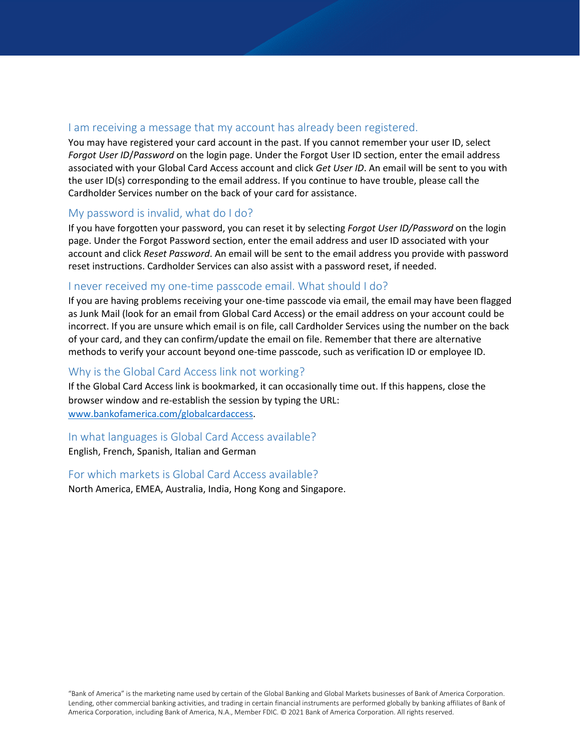## I am receiving a message that my account has already been registered.

You may have registered your card account in the past. If you cannot remember your user ID, select *Forgot User ID*/*Password* on the login page. Under the Forgot User ID section, enter the email address associated with your Global Card Access account and click *Get User ID*. An email will be sent to you with the user ID(s) corresponding to the email address. If you continue to have trouble, please call the Cardholder Services number on the back of your card for assistance.

#### My password is invalid, what do I do?

If you have forgotten your password, you can reset it by selecting *Forgot User ID/Password* on the login page. Under the Forgot Password section, enter the email address and user ID associated with your account and click *Reset Password*. An email will be sent to the email address you provide with password reset instructions. Cardholder Services can also assist with a password reset, if needed.

#### I never received my one-time passcode email. What should I do?

If you are having problems receiving your one-time passcode via email, the email may have been flagged as Junk Mail (look for an email from Global Card Access) or the email address on your account could be incorrect. If you are unsure which email is on file, call Cardholder Services using the number on the back of your card, and they can confirm/update the email on file. Remember that there are alternative methods to verify your account beyond one-time passcode, such as verification ID or employee ID.

## Why is the Global Card Access link not working?

If the Global Card Access link is bookmarked, it can occasionally time out. If this happens, close the browser window and re-establish the session by typing the URL: [www.bankofamerica.com/globalcardaccess.](http://www.bankofamerica.com/globalcardaccess)

## In what languages is Global Card Access available?

English, French, Spanish, Italian and German

#### For which markets is Global Card Access available?

North America, EMEA, Australia, India, Hong Kong and Singapore.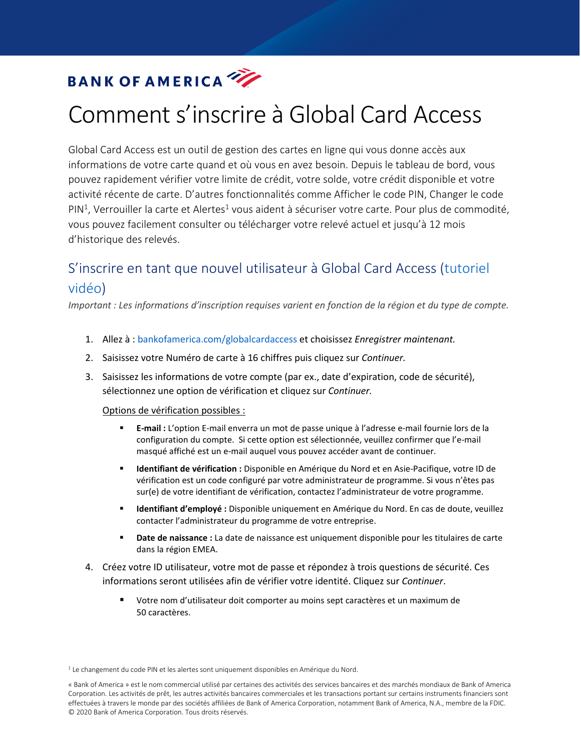# Comment s'inscrire à Global Card Access

<span id="page-3-0"></span>Global Card Access est un outil de gestion des cartes en ligne qui vous donne accès aux informations de votre carte quand et où vous en avez besoin. Depuis le tableau de bord, vous pouvez rapidement vérifier votre limite de crédit, votre solde, votre crédit disponible et votre activité récente de carte. D'autres fonctionnalités comme Afficher le code PIN, Changer le code  $PIN<sup>1</sup>$ , Verrouiller la carte et Alertes<sup>1</sup> vous aident à sécuriser votre carte. Pour plus de commodité, vous pouvez facilement consulter ou télécharger votre relevé actuel et jusqu'à 12 mois d'historique des relevés.

# S'inscrire en tant que nouvel utilisateur à Global Card Access [\(tutoriel](https://players.brightcove.net/pages/v1/index.html?accountId=1786718357&playerId=Sk1PhbL9l&videoId=6125946316001&autoplay=true)  [vidéo\)](https://players.brightcove.net/pages/v1/index.html?accountId=1786718357&playerId=Sk1PhbL9l&videoId=6125946316001&autoplay=true)

*Important : Les informations d'inscription requises varient en fonction de la région et du type de compte.*

- 1. Allez à : bankofamerica.com/globalcardaccess et choisissez *Enregistrer maintenant.*
- 2. Saisissez votre Numéro de carte à 16 chiffres puis cliquez sur *Continuer.*
- 3. Saisissez les informations de votre compte (par ex., date d'expiration, code de sécurité), sélectionnez une option de vérification et cliquez sur *Continuer.*

#### Options de vérification possibles :

- **E-mail :** L'option E-mail enverra un mot de passe unique à l'adresse e-mail fournie lors de la configuration du compte. Si cette option est sélectionnée, veuillez confirmer que l'e-mail masqué affiché est un e-mail auquel vous pouvez accéder avant de continuer.
- **Identifiant de vérification :** Disponible en Amérique du Nord et en Asie-Pacifique, votre ID de vérification est un code configuré par votre administrateur de programme. Si vous n'êtes pas sur(e) de votre identifiant de vérification, contactez l'administrateur de votre programme.
- **Identifiant d'employé :** Disponible uniquement en Amérique du Nord. En cas de doute, veuillez contacter l'administrateur du programme de votre entreprise.
- **Date de naissance** : La date de naissance est uniquement disponible pour les titulaires de carte dans la région EMEA.
- 4. Créez votre ID utilisateur, votre mot de passe et répondez à trois questions de sécurité. Ces informations seront utilisées afin de vérifier votre identité. Cliquez sur *Continuer*.
	- Votre nom d'utilisateur doit comporter au moins sept caractères et un maximum de 50 caractères.

<sup>1</sup> Le changement du code PIN et les alertes sont uniquement disponibles en Amérique du Nord.

<sup>«</sup> Bank of America » est le nom commercial utilisé par certaines des activités des services bancaires et des marchés mondiaux de Bank of America Corporation. Les activités de prêt, les autres activités bancaires commerciales et les transactions portant sur certains instruments financiers sont effectuées à travers le monde par des sociétés affiliées de Bank of America Corporation, notamment Bank of America, N.A., membre de la FDIC. © 2020 Bank of America Corporation. Tous droits réservés.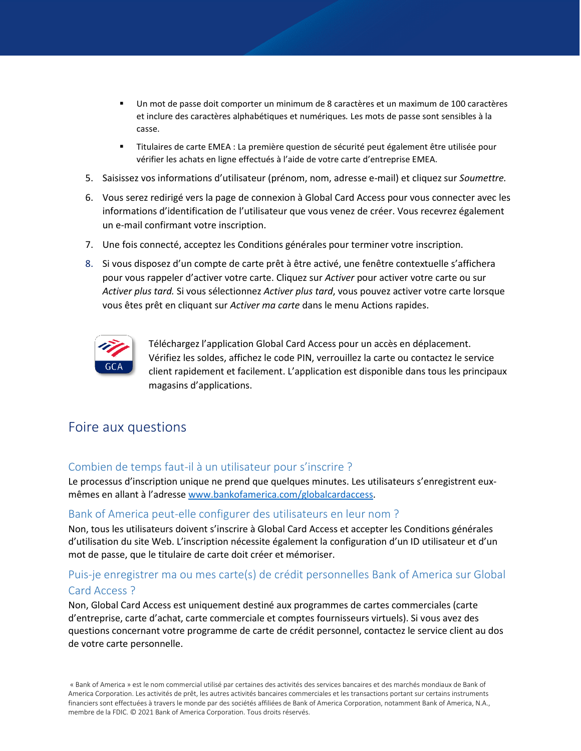- Un mot de passe doit comporter un minimum de 8 caractères et un maximum de 100 caractères et inclure des caractères alphabétiques et numériques*.* Les mots de passe sont sensibles à la casse.
- Titulaires de carte EMEA : La première question de sécurité peut également être utilisée pour vérifier les achats en ligne effectués à l'aide de votre carte d'entreprise EMEA.
- 5. Saisissez vos informations d'utilisateur (prénom, nom, adresse e-mail) et cliquez sur *Soumettre.*
- 6. Vous serez redirigé vers la page de connexion à Global Card Access pour vous connecter avec les informations d'identification de l'utilisateur que vous venez de créer. Vous recevrez également un e-mail confirmant votre inscription.
- 7. Une fois connecté, acceptez les Conditions générales pour terminer votre inscription.
- 8. Si vous disposez d'un compte de carte prêt à être activé, une fenêtre contextuelle s'affichera pour vous rappeler d'activer votre carte. Cliquez sur *Activer* pour activer votre carte ou sur *Activer plus tard.* Si vous sélectionnez *Activer plus tard*, vous pouvez activer votre carte lorsque vous êtes prêt en cliquant sur *Activer ma carte* dans le menu Actions rapides.



Téléchargez l'application Global Card Access pour un accès en déplacement. Vérifiez les soldes, affichez le code PIN, verrouillez la carte ou contactez le service client rapidement et facilement. L'application est disponible dans tous les principaux magasins d'applications.

# Foire aux questions

## Combien de temps faut-il à un utilisateur pour s'inscrire ?

Le processus d'inscription unique ne prend que quelques minutes. Les utilisateurs s'enregistrent euxmêmes en allant à [l'adresse www.bankofamerica.com/globalcardaccess.](http://www.bankofamerica.com/globalcardaccess)

#### Bank of America peut-elle configurer des utilisateurs en leur nom ?

Non, tous les utilisateurs doivent s'inscrire à Global Card Access et accepter les Conditions générales d'utilisation du site Web. L'inscription nécessite également la configuration d'un ID utilisateur et d'un mot de passe, que le titulaire de carte doit créer et mémoriser.

# Puis-je enregistrer ma ou mes carte(s) de crédit personnelles Bank of America sur Global Card Access ?

Non, Global Card Access est uniquement destiné aux programmes de cartes commerciales (carte d'entreprise, carte d'achat, carte commerciale et comptes fournisseurs virtuels). Si vous avez des questions concernant votre programme de carte de crédit personnel, contactez le service client au dos de votre carte personnelle.

« Bank of America » est le nom commercial utilisé par certaines des activités des services bancaires et des marchés mondiaux de Bank of America Corporation. Les activités de prêt, les autres activités bancaires commerciales et les transactions portant sur certains instruments financiers sont effectuées à travers le monde par des sociétés affiliées de Bank of America Corporation, notamment Bank of America, N.A., membre de la FDIC. © 2021 Bank of America Corporation. Tous droits réservés.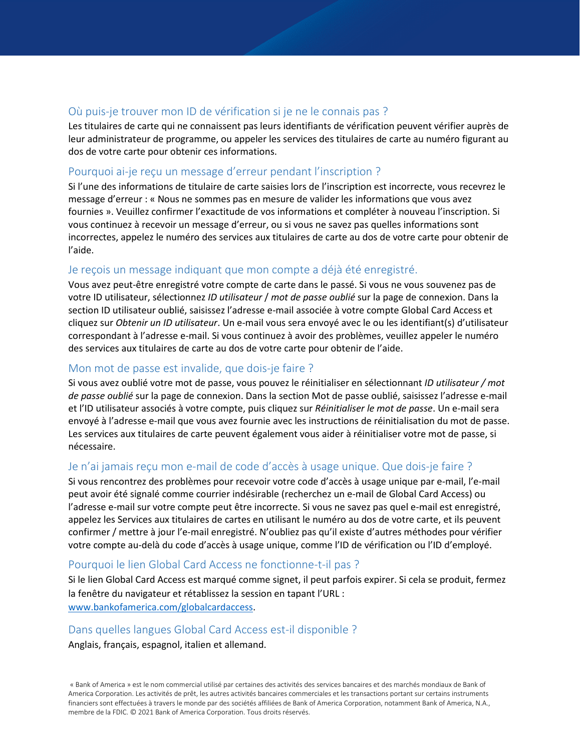# Où puis-je trouver mon ID de vérification si je ne le connais pas ?

Les titulaires de carte qui ne connaissent pas leurs identifiants de vérification peuvent vérifier auprès de leur administrateur de programme, ou appeler les services des titulaires de carte au numéro figurant au dos de votre carte pour obtenir ces informations.

# Pourquoi ai-je reçu un message d'erreur pendant l'inscription ?

Si l'une des informations de titulaire de carte saisies lors de l'inscription est incorrecte, vous recevrez le message d'erreur : « Nous ne sommes pas en mesure de valider les informations que vous avez fournies ». Veuillez confirmer l'exactitude de vos informations et compléter à nouveau l'inscription. Si vous continuez à recevoir un message d'erreur, ou si vous ne savez pas quelles informations sont incorrectes, appelez le numéro des services aux titulaires de carte au dos de votre carte pour obtenir de l'aide.

# Je reçois un message indiquant que mon compte a déjà été enregistré.

Vous avez peut-être enregistré votre compte de carte dans le passé. Si vous ne vous souvenez pas de votre ID utilisateur, sélectionnez *ID utilisateur* / *mot de passe oublié* sur la page de connexion. Dans la section ID utilisateur oublié, saisissez l'adresse e-mail associée à votre compte Global Card Access et cliquez sur *Obtenir un ID utilisateur*. Un e-mail vous sera envoyé avec le ou les identifiant(s) d'utilisateur correspondant à l'adresse e-mail. Si vous continuez à avoir des problèmes, veuillez appeler le numéro des services aux titulaires de carte au dos de votre carte pour obtenir de l'aide.

# Mon mot de passe est invalide, que dois-je faire ?

Si vous avez oublié votre mot de passe, vous pouvez le réinitialiser en sélectionnant *ID utilisateur / mot de passe oublié* sur la page de connexion. Dans la section Mot de passe oublié, saisissez l'adresse e-mail et l'ID utilisateur associés à votre compte, puis cliquez sur *Réinitialiser le mot de passe*. Un e-mail sera envoyé à l'adresse e-mail que vous avez fournie avec les instructions de réinitialisation du mot de passe. Les services aux titulaires de carte peuvent également vous aider à réinitialiser votre mot de passe, si nécessaire.

# Je n'ai jamais reçu mon e-mail de code d'accès à usage unique. Que dois-je faire ?

Si vous rencontrez des problèmes pour recevoir votre code d'accès à usage unique par e-mail, l'e-mail peut avoir été signalé comme courrier indésirable (recherchez un e-mail de Global Card Access) ou l'adresse e-mail sur votre compte peut être incorrecte. Si vous ne savez pas quel e-mail est enregistré, appelez les Services aux titulaires de cartes en utilisant le numéro au dos de votre carte, et ils peuvent confirmer / mettre à jour l'e-mail enregistré. N'oubliez pas qu'il existe d'autres méthodes pour vérifier votre compte au-delà du code d'accès à usage unique, comme l'ID de vérification ou l'ID d'employé.

# Pourquoi le lien Global Card Access ne fonctionne-t-il pas ?

Si le lien Global Card Access est marqué comme signet, il peut parfois expirer. Si cela se produit, fermez la fenêtre du navigateur et rétablissez la session en tapant l'URL : [www.bankofamerica.com/globalcardaccess.](http://www.bankofamerica.com/globalcardaccess)

# Dans quelles langues Global Card Access est-il disponible ?

Anglais, français, espagnol, italien et allemand.

« Bank of America » est le nom commercial utilisé par certaines des activités des services bancaires et des marchés mondiaux de Bank of America Corporation. Les activités de prêt, les autres activités bancaires commerciales et les transactions portant sur certains instruments financiers sont effectuées à travers le monde par des sociétés affiliées de Bank of America Corporation, notamment Bank of America, N.A., membre de la FDIC. © 2021 Bank of America Corporation. Tous droits réservés.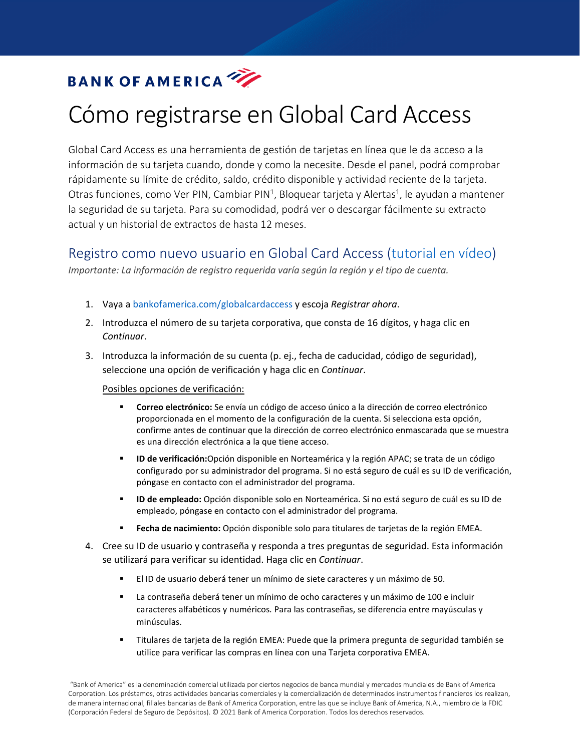# Cómo registrarse en Global Card Access

<span id="page-6-0"></span>Global Card Access es una herramienta de gestión de tarjetas en línea que le da acceso a la información de su tarjeta cuando, donde y como la necesite. Desde el panel, podrá comprobar rápidamente su límite de crédito, saldo, crédito disponible y actividad reciente de la tarjeta. Otras funciones, como Ver PIN, Cambiar PIN<sup>1</sup>, Bloquear tarjeta y Alertas<sup>1</sup>, le ayudan a mantener la seguridad de su tarjeta. Para su comodidad, podrá ver o descargar fácilmente su extracto actual y un historial de extractos de hasta 12 meses.

# Registro como nuevo usuario en Global Card Access [\(tutorial en vídeo\)](https://players.brightcove.net/pages/v1/index.html?accountId=1786718357&playerId=Sk1PhbL9l&videoId=6125946316001&autoplay=true)

*Importante: La información de registro requerida varía según la región y el tipo de cuenta.*

- 1. Vaya a bankofamerica.com/globalcardaccess y escoja *Registrar ahora*.
- 2. Introduzca el número de su tarjeta corporativa, que consta de 16 dígitos, y haga clic en *Continuar*.
- 3. Introduzca la información de su cuenta (p. ej., fecha de caducidad, código de seguridad), seleccione una opción de verificación y haga clic en *Continuar*.

#### Posibles opciones de verificación:

- **Correo electrónico:** Se envía un código de acceso único a la dirección de correo electrónico proporcionada en el momento de la configuración de la cuenta. Si selecciona esta opción, confirme antes de continuar que la dirección de correo electrónico enmascarada que se muestra es una dirección electrónica a la que tiene acceso.
- **ID de verificación:**Opción disponible en Norteamérica y la región APAC; se trata de un código configurado por su administrador del programa. Si no está seguro de cuál es su ID de verificación, póngase en contacto con el administrador del programa.
- **ID de empleado:** Opción disponible solo en Norteamérica. Si no está seguro de cuál es su ID de empleado, póngase en contacto con el administrador del programa.
- **Fecha de nacimiento:** Opción disponible solo para titulares de tarjetas de la región EMEA.
- 4. Cree su ID de usuario y contraseña y responda a tres preguntas de seguridad. Esta información se utilizará para verificar su identidad. Haga clic en *Continuar*.
	- El ID de usuario deberá tener un mínimo de siete caracteres y un máximo de 50.
	- La contraseña deberá tener un mínimo de ocho caracteres y un máximo de 100 e incluir caracteres alfabéticos y numéricos*.* Para las contraseñas, se diferencia entre mayúsculas y minúsculas.
	- Titulares de tarjeta de la región EMEA: Puede que la primera pregunta de seguridad también se utilice para verificar las compras en línea con una Tarjeta corporativa EMEA.

"Bank of America" es la denominación comercial utilizada por ciertos negocios de banca mundial y mercados mundiales de Bank of America Corporation. Los préstamos, otras actividades bancarias comerciales y la comercialización de determinados instrumentos financieros los realizan, de manera internacional, filiales bancarias de Bank of America Corporation, entre las que se incluye Bank of America, N.A., miembro de la FDIC (Corporación Federal de Seguro de Depósitos). © 2021 Bank of America Corporation. Todos los derechos reservados.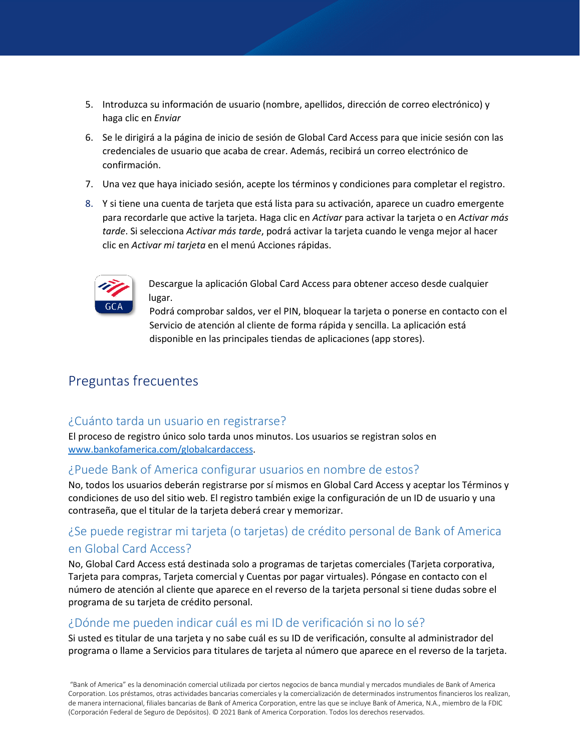- 5. Introduzca su información de usuario (nombre, apellidos, dirección de correo electrónico) y haga clic en *Enviar*
- 6. Se le dirigirá a la página de inicio de sesión de Global Card Access para que inicie sesión con las credenciales de usuario que acaba de crear. Además, recibirá un correo electrónico de confirmación.
- 7. Una vez que haya iniciado sesión, acepte los términos y condiciones para completar el registro.
- 8. Y si tiene una cuenta de tarjeta que está lista para su activación, aparece un cuadro emergente para recordarle que active la tarjeta. Haga clic en *Activar* para activar la tarjeta o en *Activar más tarde*. Si selecciona *Activar más tarde*, podrá activar la tarjeta cuando le venga mejor al hacer clic en *Activar mi tarjeta* en el menú Acciones rápidas.



Descargue la aplicación Global Card Access para obtener acceso desde cualquier lugar.

Podrá comprobar saldos, ver el PIN, bloquear la tarjeta o ponerse en contacto con el Servicio de atención al cliente de forma rápida y sencilla. La aplicación está disponible en las principales tiendas de aplicaciones (app stores).

# Preguntas frecuentes

# ¿Cuánto tarda un usuario en registrarse?

El proceso de registro único solo tarda unos minutos. Los usuarios se registran solos en [www.bankofamerica.com/globalcardaccess.](http://www.bankofamerica.com/globalcardaccess)

# ¿Puede Bank of America configurar usuarios en nombre de estos?

No, todos los usuarios deberán registrarse por sí mismos en Global Card Access y aceptar los Términos y condiciones de uso del sitio web. El registro también exige la configuración de un ID de usuario y una contraseña, que el titular de la tarjeta deberá crear y memorizar.

# ¿Se puede registrar mi tarjeta (o tarjetas) de crédito personal de Bank of America en Global Card Access?

No, Global Card Access está destinada solo a programas de tarjetas comerciales (Tarjeta corporativa, Tarjeta para compras, Tarjeta comercial y Cuentas por pagar virtuales). Póngase en contacto con el número de atención al cliente que aparece en el reverso de la tarjeta personal si tiene dudas sobre el programa de su tarjeta de crédito personal.

# ¿Dónde me pueden indicar cuál es mi ID de verificación si no lo sé?

Si usted es titular de una tarjeta y no sabe cuál es su ID de verificación, consulte al administrador del programa o llame a Servicios para titulares de tarjeta al número que aparece en el reverso de la tarjeta.

"Bank of America" es la denominación comercial utilizada por ciertos negocios de banca mundial y mercados mundiales de Bank of America Corporation. Los préstamos, otras actividades bancarias comerciales y la comercialización de determinados instrumentos financieros los realizan, de manera internacional, filiales bancarias de Bank of America Corporation, entre las que se incluye Bank of America, N.A., miembro de la FDIC (Corporación Federal de Seguro de Depósitos). © 2021 Bank of America Corporation. Todos los derechos reservados.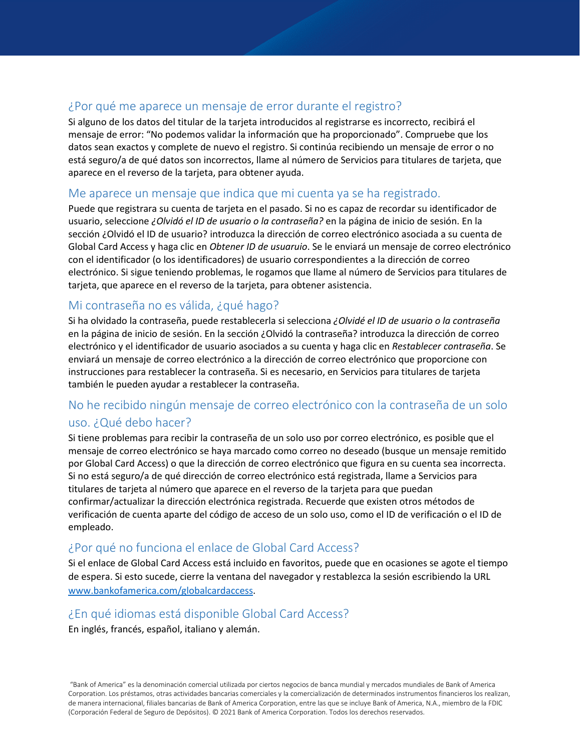# ¿Por qué me aparece un mensaje de error durante el registro?

Si alguno de los datos del titular de la tarjeta introducidos al registrarse es incorrecto, recibirá el mensaje de error: "No podemos validar la información que ha proporcionado". Compruebe que los datos sean exactos y complete de nuevo el registro. Si continúa recibiendo un mensaje de error o no está seguro/a de qué datos son incorrectos, llame al número de Servicios para titulares de tarjeta, que aparece en el reverso de la tarjeta, para obtener ayuda.

# Me aparece un mensaje que indica que mi cuenta ya se ha registrado.

Puede que registrara su cuenta de tarjeta en el pasado. Si no es capaz de recordar su identificador de usuario, seleccione *¿Olvidó el ID de usuario o la contraseña?* en la página de inicio de sesión. En la sección ¿Olvidó el ID de usuario? introduzca la dirección de correo electrónico asociada a su cuenta de Global Card Access y haga clic en *Obtener ID de usuaruio*. Se le enviará un mensaje de correo electrónico con el identificador (o los identificadores) de usuario correspondientes a la dirección de correo electrónico. Si sigue teniendo problemas, le rogamos que llame al número de Servicios para titulares de tarjeta, que aparece en el reverso de la tarjeta, para obtener asistencia.

# Mi contraseña no es válida, ¿qué hago?

Si ha olvidado la contraseña, puede restablecerla si selecciona *¿Olvidé el ID de usuario o la contraseña* en la página de inicio de sesión. En la sección ¿Olvidó la contraseña? introduzca la dirección de correo electrónico y el identificador de usuario asociados a su cuenta y haga clic en *Restablecer contraseña*. Se enviará un mensaje de correo electrónico a la dirección de correo electrónico que proporcione con instrucciones para restablecer la contraseña. Si es necesario, en Servicios para titulares de tarjeta también le pueden ayudar a restablecer la contraseña.

# No he recibido ningún mensaje de correo electrónico con la contraseña de un solo uso. ¿Qué debo hacer?

Si tiene problemas para recibir la contraseña de un solo uso por correo electrónico, es posible que el mensaje de correo electrónico se haya marcado como correo no deseado (busque un mensaje remitido por Global Card Access) o que la dirección de correo electrónico que figura en su cuenta sea incorrecta. Si no está seguro/a de qué dirección de correo electrónico está registrada, llame a Servicios para titulares de tarjeta al número que aparece en el reverso de la tarjeta para que puedan confirmar/actualizar la dirección electrónica registrada. Recuerde que existen otros métodos de verificación de cuenta aparte del código de acceso de un solo uso, como el ID de verificación o el ID de empleado.

# ¿Por qué no funciona el enlace de Global Card Access?

Si el enlace de Global Card Access está incluido en favoritos, puede que en ocasiones se agote el tiempo de espera. Si esto sucede, cierre la ventana del navegador y restablezca la sesión escribiendo la URL [www.bankofamerica.com/globalcardaccess.](http://www.bankofamerica.com/globalcardaccess)

# ¿En qué idiomas está disponible Global Card Access?

En inglés, francés, español, italiano y alemán.

"Bank of America" es la denominación comercial utilizada por ciertos negocios de banca mundial y mercados mundiales de Bank of America Corporation. Los préstamos, otras actividades bancarias comerciales y la comercialización de determinados instrumentos financieros los realizan, de manera internacional, filiales bancarias de Bank of America Corporation, entre las que se incluye Bank of America, N.A., miembro de la FDIC (Corporación Federal de Seguro de Depósitos). © 2021 Bank of America Corporation. Todos los derechos reservados.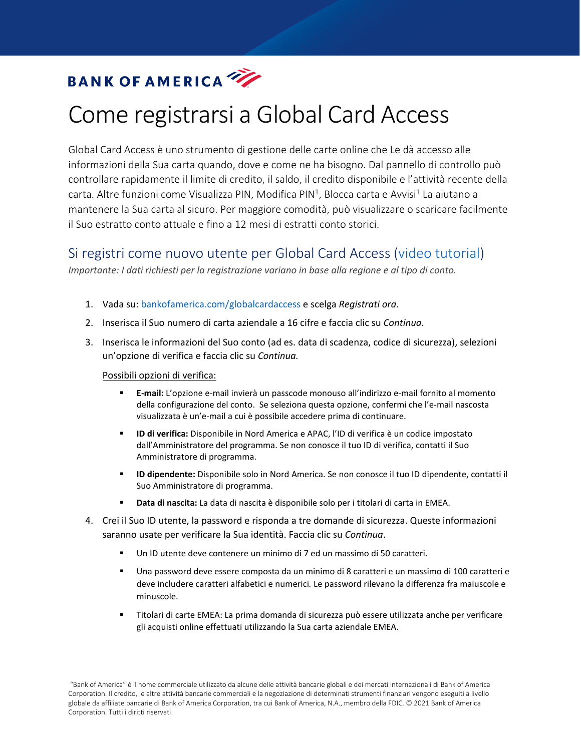# Come registrarsi a Global Card Access

<span id="page-9-0"></span>Global Card Access è uno strumento di gestione delle carte online che Le dà accesso alle informazioni della Sua carta quando, dove e come ne ha bisogno. Dal pannello di controllo può controllare rapidamente il limite di credito, il saldo, il credito disponibile e l'attività recente della carta. Altre funzioni come Visualizza PIN, Modifica PIN<sup>1</sup>, Blocca carta e Avvisi<sup>1</sup> La aiutano a mantenere la Sua carta al sicuro. Per maggiore comodità, può visualizzare o scaricare facilmente il Suo estratto conto attuale e fino a 12 mesi di estratti conto storici.

# Si registri come nuovo utente per Global Card Access [\(video tutorial\)](https://players.brightcove.net/pages/v1/index.html?accountId=1786718357&playerId=Sk1PhbL9l&videoId=6125946316001&autoplay=true)

*Importante: I dati richiesti per la registrazione variano in base alla regione e al tipo di conto.*

- 1. Vada su: bankofamerica.com/globalcardaccess e scelga *Registrati ora.*
- 2. Inserisca il Suo numero di carta aziendale a 16 cifre e faccia clic su *Continua.*
- 3. Inserisca le informazioni del Suo conto (ad es. data di scadenza, codice di sicurezza), selezioni un'opzione di verifica e faccia clic su *Continua.*

#### Possibili opzioni di verifica:

- **E-mail:** L'opzione e-mail invierà un passcode monouso all'indirizzo e-mail fornito al momento della configurazione del conto. Se seleziona questa opzione, confermi che l'e-mail nascosta visualizzata è un'e-mail a cui è possibile accedere prima di continuare.
- **ID di verifica:** Disponibile in Nord America e APAC, l'ID di verifica è un codice impostato dall'Amministratore del programma. Se non conosce il tuo ID di verifica, contatti il Suo Amministratore di programma.
- **ID dipendente:** Disponibile solo in Nord America. Se non conosce il tuo ID dipendente, contatti il Suo Amministratore di programma.
- **Data di nascita:** La data di nascita è disponibile solo per i titolari di carta in EMEA.
- 4. Crei il Suo ID utente, la password e risponda a tre domande di sicurezza. Queste informazioni saranno usate per verificare la Sua identità. Faccia clic su *Continua*.
	- Un ID utente deve contenere un minimo di 7 ed un massimo di 50 caratteri.
	- Una password deve essere composta da un minimo di 8 caratteri e un massimo di 100 caratteri e deve includere caratteri alfabetici e numerici*.* Le password rilevano la differenza fra maiuscole e minuscole.
	- Titolari di carte EMEA: La prima domanda di sicurezza può essere utilizzata anche per verificare gli acquisti online effettuati utilizzando la Sua carta aziendale EMEA.

"Bank of America" è il nome commerciale utilizzato da alcune delle attività bancarie globali e dei mercati internazionali di Bank of America Corporation. Il credito, le altre attività bancarie commerciali e la negoziazione di determinati strumenti finanziari vengono eseguiti a livello globale da affiliate bancarie di Bank of America Corporation, tra cui Bank of America, N.A., membro della FDIC. © 2021 Bank of America Corporation. Tutti i diritti riservati.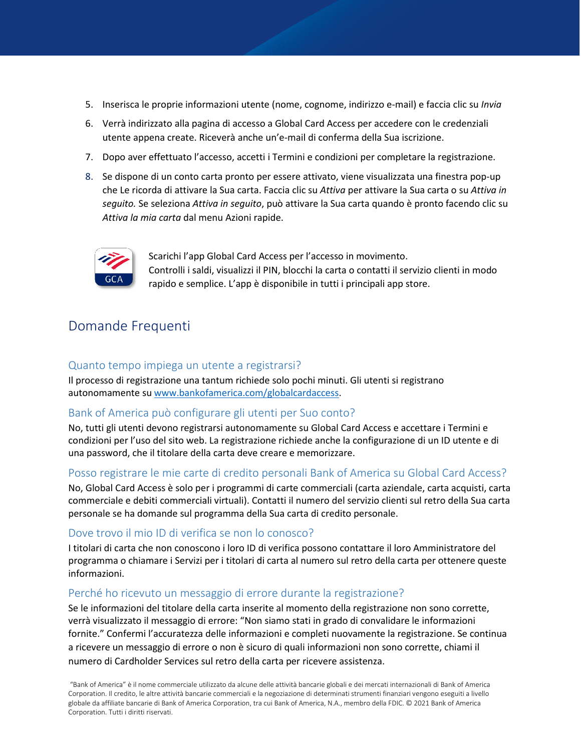- 5. Inserisca le proprie informazioni utente (nome, cognome, indirizzo e-mail) e faccia clic su *Invia*
- 6. Verrà indirizzato alla pagina di accesso a Global Card Access per accedere con le credenziali utente appena create. Riceverà anche un'e-mail di conferma della Sua iscrizione.
- 7. Dopo aver effettuato l'accesso, accetti i Termini e condizioni per completare la registrazione.
- 8. Se dispone di un conto carta pronto per essere attivato, viene visualizzata una finestra pop-up che Le ricorda di attivare la Sua carta. Faccia clic su *Attiva* per attivare la Sua carta o su *Attiva in seguito.* Se seleziona *Attiva in seguito*, può attivare la Sua carta quando è pronto facendo clic su *Attiva la mia carta* dal menu Azioni rapide.



Scarichi l'app Global Card Access per l'accesso in movimento. Controlli i saldi, visualizzi il PIN, blocchi la carta o contatti il servizio clienti in modo rapido e semplice. L'app è disponibile in tutti i principali app store.

# Domande Frequenti

#### Quanto tempo impiega un utente a registrarsi?

Il processo di registrazione una tantum richiede solo pochi minuti. Gli utenti si registrano autonomamente s[u www.bankofamerica.com/globalcardaccess.](http://www.bankofamerica.com/globalcardaccess)

## Bank of America può configurare gli utenti per Suo conto?

No, tutti gli utenti devono registrarsi autonomamente su Global Card Access e accettare i Termini e condizioni per l'uso del sito web. La registrazione richiede anche la configurazione di un ID utente e di una password, che il titolare della carta deve creare e memorizzare.

#### Posso registrare le mie carte di credito personali Bank of America su Global Card Access?

No, Global Card Access è solo per i programmi di carte commerciali (carta aziendale, carta acquisti, carta commerciale e debiti commerciali virtuali). Contatti il numero del servizio clienti sul retro della Sua carta personale se ha domande sul programma della Sua carta di credito personale.

#### Dove trovo il mio ID di verifica se non lo conosco?

I titolari di carta che non conoscono i loro ID di verifica possono contattare il loro Amministratore del programma o chiamare i Servizi per i titolari di carta al numero sul retro della carta per ottenere queste informazioni.

#### Perché ho ricevuto un messaggio di errore durante la registrazione?

Se le informazioni del titolare della carta inserite al momento della registrazione non sono corrette, verrà visualizzato il messaggio di errore: "Non siamo stati in grado di convalidare le informazioni fornite." Confermi l'accuratezza delle informazioni e completi nuovamente la registrazione. Se continua a ricevere un messaggio di errore o non è sicuro di quali informazioni non sono corrette, chiami il numero di Cardholder Services sul retro della carta per ricevere assistenza.

"Bank of America" è il nome commerciale utilizzato da alcune delle attività bancarie globali e dei mercati internazionali di Bank of America Corporation. Il credito, le altre attività bancarie commerciali e la negoziazione di determinati strumenti finanziari vengono eseguiti a livello globale da affiliate bancarie di Bank of America Corporation, tra cui Bank of America, N.A., membro della FDIC. © 2021 Bank of America Corporation. Tutti i diritti riservati.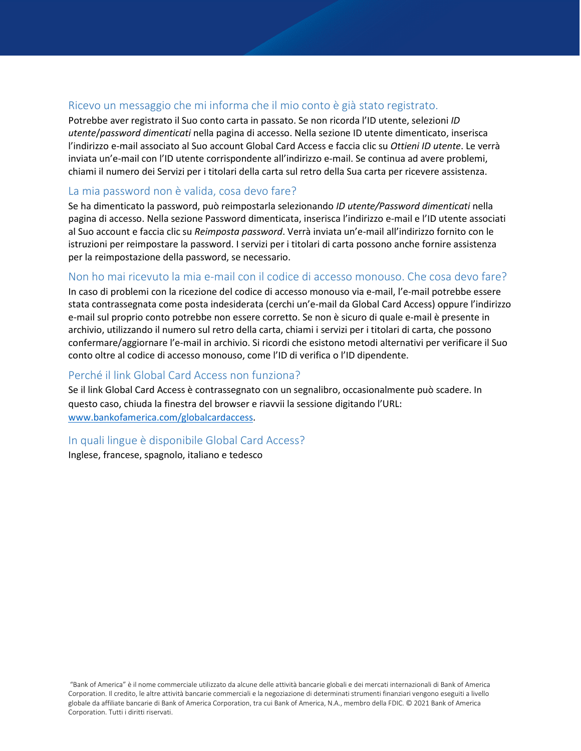## Ricevo un messaggio che mi informa che il mio conto è già stato registrato.

Potrebbe aver registrato il Suo conto carta in passato. Se non ricorda l'ID utente, selezioni *ID utente*/*password dimenticati* nella pagina di accesso. Nella sezione ID utente dimenticato, inserisca l'indirizzo e-mail associato al Suo account Global Card Access e faccia clic su *Ottieni ID utente*. Le verrà inviata un'e-mail con l'ID utente corrispondente all'indirizzo e-mail. Se continua ad avere problemi, chiami il numero dei Servizi per i titolari della carta sul retro della Sua carta per ricevere assistenza.

#### La mia password non è valida, cosa devo fare?

Se ha dimenticato la password, può reimpostarla selezionando *ID utente/Password dimenticati* nella pagina di accesso. Nella sezione Password dimenticata, inserisca l'indirizzo e-mail e l'ID utente associati al Suo account e faccia clic su *Reimposta password*. Verrà inviata un'e-mail all'indirizzo fornito con le istruzioni per reimpostare la password. I servizi per i titolari di carta possono anche fornire assistenza per la reimpostazione della password, se necessario.

## Non ho mai ricevuto la mia e-mail con il codice di accesso monouso. Che cosa devo fare?

In caso di problemi con la ricezione del codice di accesso monouso via e-mail, l'e-mail potrebbe essere stata contrassegnata come posta indesiderata (cerchi un'e-mail da Global Card Access) oppure l'indirizzo e-mail sul proprio conto potrebbe non essere corretto. Se non è sicuro di quale e-mail è presente in archivio, utilizzando il numero sul retro della carta, chiami i servizi per i titolari di carta, che possono confermare/aggiornare l'e-mail in archivio. Si ricordi che esistono metodi alternativi per verificare il Suo conto oltre al codice di accesso monouso, come l'ID di verifica o l'ID dipendente.

#### Perché il link Global Card Access non funziona?

Se il link Global Card Access è contrassegnato con un segnalibro, occasionalmente può scadere. In questo caso, chiuda la finestra del browser e riavvii la sessione digitando l'URL: [www.bankofamerica.com/globalcardaccess.](http://www.bankofamerica.com/globalcardaccess)

#### In quali lingue è disponibile Global Card Access?

Inglese, francese, spagnolo, italiano e tedesco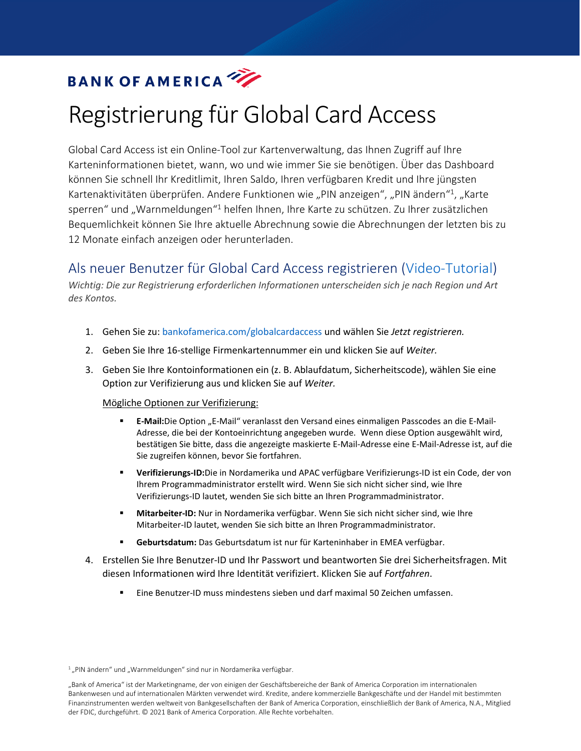# Registrierung für Global Card Access

<span id="page-12-0"></span>Global Card Access ist ein Online-Tool zur Kartenverwaltung, das Ihnen Zugriff auf Ihre Karteninformationen bietet, wann, wo und wie immer Sie sie benötigen. Über das Dashboard können Sie schnell Ihr Kreditlimit, Ihren Saldo, Ihren verfügbaren Kredit und Ihre jüngsten Kartenaktivitäten überprüfen. Andere Funktionen wie "PIN anzeigen", "PIN ändern"<sup>1</sup>, "Karte sperren" und "Warnmeldungen"<sup>1</sup> helfen Ihnen, Ihre Karte zu schützen. Zu Ihrer zusätzlichen Bequemlichkeit können Sie Ihre aktuelle Abrechnung sowie die Abrechnungen der letzten bis zu 12 Monate einfach anzeigen oder herunterladen.

# Als neuer Benutzer für Global Card Access registrieren [\(Video-Tutorial\)](https://players.brightcove.net/pages/v1/index.html?accountId=1786718357&playerId=Sk1PhbL9l&videoId=6125946316001&autoplay=true)

*Wichtig: Die zur Registrierung erforderlichen Informationen unterscheiden sich je nach Region und Art des Kontos.*

- 1. Gehen Sie zu: bankofamerica.com/globalcardaccess und wählen Sie *Jetzt registrieren.*
- 2. Geben Sie Ihre 16-stellige Firmenkartennummer ein und klicken Sie auf *Weiter.*
- 3. Geben Sie Ihre Kontoinformationen ein (z. B. Ablaufdatum, Sicherheitscode), wählen Sie eine Option zur Verifizierung aus und klicken Sie auf *Weiter.*

#### Mögliche Optionen zur Verifizierung:

- **E-Mail:**Die Option "E-Mail" veranlasst den Versand eines einmaligen Passcodes an die E-Mail-Adresse, die bei der Kontoeinrichtung angegeben wurde. Wenn diese Option ausgewählt wird, bestätigen Sie bitte, dass die angezeigte maskierte E-Mail-Adresse eine E-Mail-Adresse ist, auf die Sie zugreifen können, bevor Sie fortfahren.
- **Verifizierungs-ID:**Die in Nordamerika und APAC verfügbare Verifizierungs-ID ist ein Code, der von Ihrem Programmadministrator erstellt wird. Wenn Sie sich nicht sicher sind, wie Ihre Verifizierungs-ID lautet, wenden Sie sich bitte an Ihren Programmadministrator.
- **Mitarbeiter-ID:** Nur in Nordamerika verfügbar. Wenn Sie sich nicht sicher sind, wie Ihre Mitarbeiter-ID lautet, wenden Sie sich bitte an Ihren Programmadministrator.
- **Geburtsdatum:** Das Geburtsdatum ist nur für Karteninhaber in EMEA verfügbar.
- 4. Erstellen Sie Ihre Benutzer-ID und Ihr Passwort und beantworten Sie drei Sicherheitsfragen. Mit diesen Informationen wird Ihre Identität verifiziert. Klicken Sie auf *Fortfahren*.
	- Eine Benutzer-ID muss mindestens sieben und darf maximal 50 Zeichen umfassen.

 $1$ , PIN ändern" und "Warnmeldungen" sind nur in Nordamerika verfügbar.

<sup>&</sup>quot;Bank of America" ist der Marketingname, der von einigen der Geschäftsbereiche der Bank of America Corporation im internationalen Bankenwesen und auf internationalen Märkten verwendet wird. Kredite, andere kommerzielle Bankgeschäfte und der Handel mit bestimmten Finanzinstrumenten werden weltweit von Bankgesellschaften der Bank of America Corporation, einschließlich der Bank of America, N.A., Mitglied der FDIC, durchgeführt. © 2021 Bank of America Corporation. Alle Rechte vorbehalten.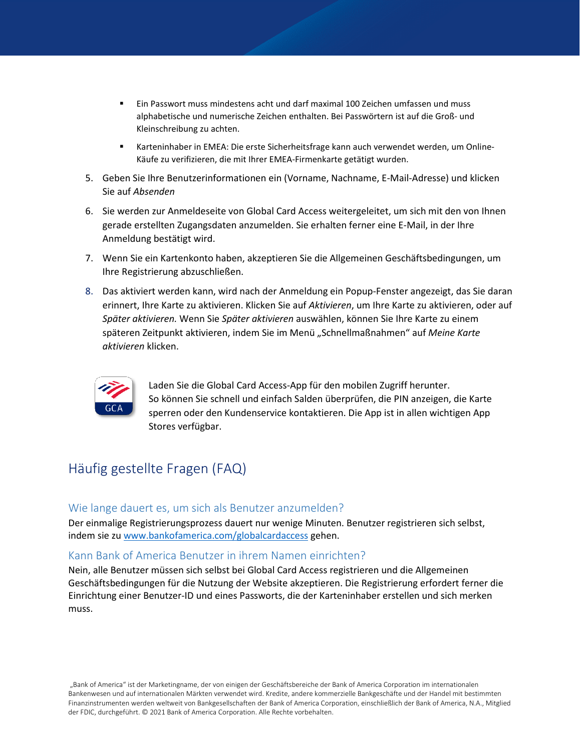- Ein Passwort muss mindestens acht und darf maximal 100 Zeichen umfassen und muss alphabetische und numerische Zeichen enthalten. Bei Passwörtern ist auf die Groß- und Kleinschreibung zu achten.
- Karteninhaber in EMEA: Die erste Sicherheitsfrage kann auch verwendet werden, um Online-Käufe zu verifizieren, die mit Ihrer EMEA-Firmenkarte getätigt wurden.
- 5. Geben Sie Ihre Benutzerinformationen ein (Vorname, Nachname, E-Mail-Adresse) und klicken Sie auf *Absenden*
- 6. Sie werden zur Anmeldeseite von Global Card Access weitergeleitet, um sich mit den von Ihnen gerade erstellten Zugangsdaten anzumelden. Sie erhalten ferner eine E-Mail, in der Ihre Anmeldung bestätigt wird.
- 7. Wenn Sie ein Kartenkonto haben, akzeptieren Sie die Allgemeinen Geschäftsbedingungen, um Ihre Registrierung abzuschließen.
- 8. Das aktiviert werden kann, wird nach der Anmeldung ein Popup-Fenster angezeigt, das Sie daran erinnert, Ihre Karte zu aktivieren. Klicken Sie auf *Aktivieren*, um Ihre Karte zu aktivieren, oder auf *Später aktivieren.* Wenn Sie *Später aktivieren* auswählen, können Sie Ihre Karte zu einem späteren Zeitpunkt aktivieren, indem Sie im Menü "Schnellmaßnahmen" auf *Meine Karte aktivieren* klicken.



Laden Sie die Global Card Access-App für den mobilen Zugriff herunter. So können Sie schnell und einfach Salden überprüfen, die PIN anzeigen, die Karte sperren oder den Kundenservice kontaktieren. Die App ist in allen wichtigen App Stores verfügbar.

# Häufig gestellte Fragen (FAQ)

## Wie lange dauert es, um sich als Benutzer anzumelden?

Der einmalige Registrierungsprozess dauert nur wenige Minuten. Benutzer registrieren sich selbst, indem sie zu [www.bankofamerica.com/globalcardaccess](http://www.bankofamerica.com/globalcardaccess) gehen.

#### Kann Bank of America Benutzer in ihrem Namen einrichten?

Nein, alle Benutzer müssen sich selbst bei Global Card Access registrieren und die Allgemeinen Geschäftsbedingungen für die Nutzung der Website akzeptieren. Die Registrierung erfordert ferner die Einrichtung einer Benutzer-ID und eines Passworts, die der Karteninhaber erstellen und sich merken muss.

"Bank of America" ist der Marketingname, der von einigen der Geschäftsbereiche der Bank of America Corporation im internationalen Bankenwesen und auf internationalen Märkten verwendet wird. Kredite, andere kommerzielle Bankgeschäfte und der Handel mit bestimmten Finanzinstrumenten werden weltweit von Bankgesellschaften der Bank of America Corporation, einschließlich der Bank of America, N.A., Mitglied der FDIC, durchgeführt. © 2021 Bank of America Corporation. Alle Rechte vorbehalten.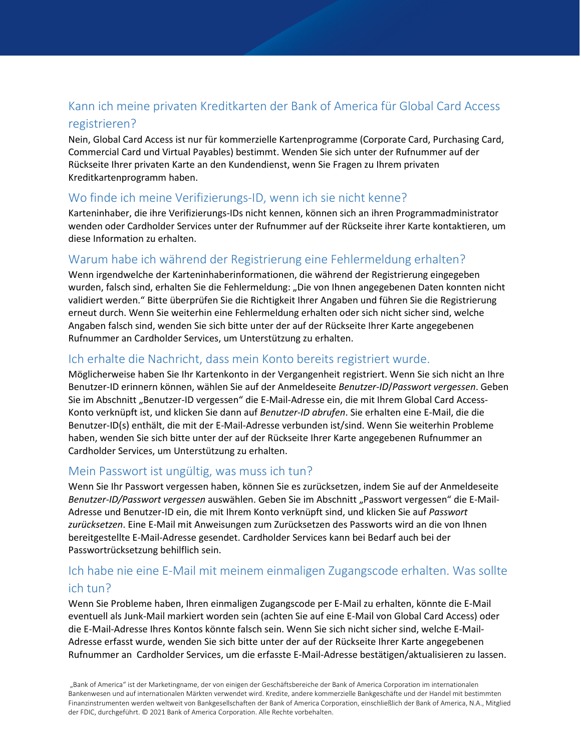# Kann ich meine privaten Kreditkarten der Bank of America für Global Card Access registrieren?

Nein, Global Card Access ist nur für kommerzielle Kartenprogramme (Corporate Card, Purchasing Card, Commercial Card und Virtual Payables) bestimmt. Wenden Sie sich unter der Rufnummer auf der Rückseite Ihrer privaten Karte an den Kundendienst, wenn Sie Fragen zu Ihrem privaten Kreditkartenprogramm haben.

# Wo finde ich meine Verifizierungs-ID, wenn ich sie nicht kenne?

Karteninhaber, die ihre Verifizierungs-IDs nicht kennen, können sich an ihren Programmadministrator wenden oder Cardholder Services unter der Rufnummer auf der Rückseite ihrer Karte kontaktieren, um diese Information zu erhalten.

# Warum habe ich während der Registrierung eine Fehlermeldung erhalten?

Wenn irgendwelche der Karteninhaberinformationen, die während der Registrierung eingegeben wurden, falsch sind, erhalten Sie die Fehlermeldung: "Die von Ihnen angegebenen Daten konnten nicht validiert werden." Bitte überprüfen Sie die Richtigkeit Ihrer Angaben und führen Sie die Registrierung erneut durch. Wenn Sie weiterhin eine Fehlermeldung erhalten oder sich nicht sicher sind, welche Angaben falsch sind, wenden Sie sich bitte unter der auf der Rückseite Ihrer Karte angegebenen Rufnummer an Cardholder Services, um Unterstützung zu erhalten.

# Ich erhalte die Nachricht, dass mein Konto bereits registriert wurde.

Möglicherweise haben Sie Ihr Kartenkonto in der Vergangenheit registriert. Wenn Sie sich nicht an Ihre Benutzer-ID erinnern können, wählen Sie auf der Anmeldeseite *Benutzer-ID*/*Passwort vergessen*. Geben Sie im Abschnitt "Benutzer-ID vergessen" die E-Mail-Adresse ein, die mit Ihrem Global Card Access-Konto verknüpft ist, und klicken Sie dann auf *Benutzer-ID abrufen*. Sie erhalten eine E-Mail, die die Benutzer-ID(s) enthält, die mit der E-Mail-Adresse verbunden ist/sind. Wenn Sie weiterhin Probleme haben, wenden Sie sich bitte unter der auf der Rückseite Ihrer Karte angegebenen Rufnummer an Cardholder Services, um Unterstützung zu erhalten.

# Mein Passwort ist ungültig, was muss ich tun?

Wenn Sie Ihr Passwort vergessen haben, können Sie es zurücksetzen, indem Sie auf der Anmeldeseite Benutzer-ID/Passwort vergessen auswählen. Geben Sie im Abschnitt "Passwort vergessen" die E-Mail-Adresse und Benutzer-ID ein, die mit Ihrem Konto verknüpft sind, und klicken Sie auf *Passwort zurücksetzen*. Eine E-Mail mit Anweisungen zum Zurücksetzen des Passworts wird an die von Ihnen bereitgestellte E-Mail-Adresse gesendet. Cardholder Services kann bei Bedarf auch bei der Passwortrücksetzung behilflich sein.

# Ich habe nie eine E-Mail mit meinem einmaligen Zugangscode erhalten. Was sollte ich tun?

Wenn Sie Probleme haben, Ihren einmaligen Zugangscode per E-Mail zu erhalten, könnte die E-Mail eventuell als Junk-Mail markiert worden sein (achten Sie auf eine E-Mail von Global Card Access) oder die E-Mail-Adresse Ihres Kontos könnte falsch sein. Wenn Sie sich nicht sicher sind, welche E-Mail-Adresse erfasst wurde, wenden Sie sich bitte unter der auf der Rückseite Ihrer Karte angegebenen Rufnummer an Cardholder Services, um die erfasste E-Mail-Adresse bestätigen/aktualisieren zu lassen.

"Bank of America" ist der Marketingname, der von einigen der Geschäftsbereiche der Bank of America Corporation im internationalen Bankenwesen und auf internationalen Märkten verwendet wird. Kredite, andere kommerzielle Bankgeschäfte und der Handel mit bestimmten Finanzinstrumenten werden weltweit von Bankgesellschaften der Bank of America Corporation, einschließlich der Bank of America, N.A., Mitglied der FDIC, durchgeführt. © 2021 Bank of America Corporation. Alle Rechte vorbehalten.